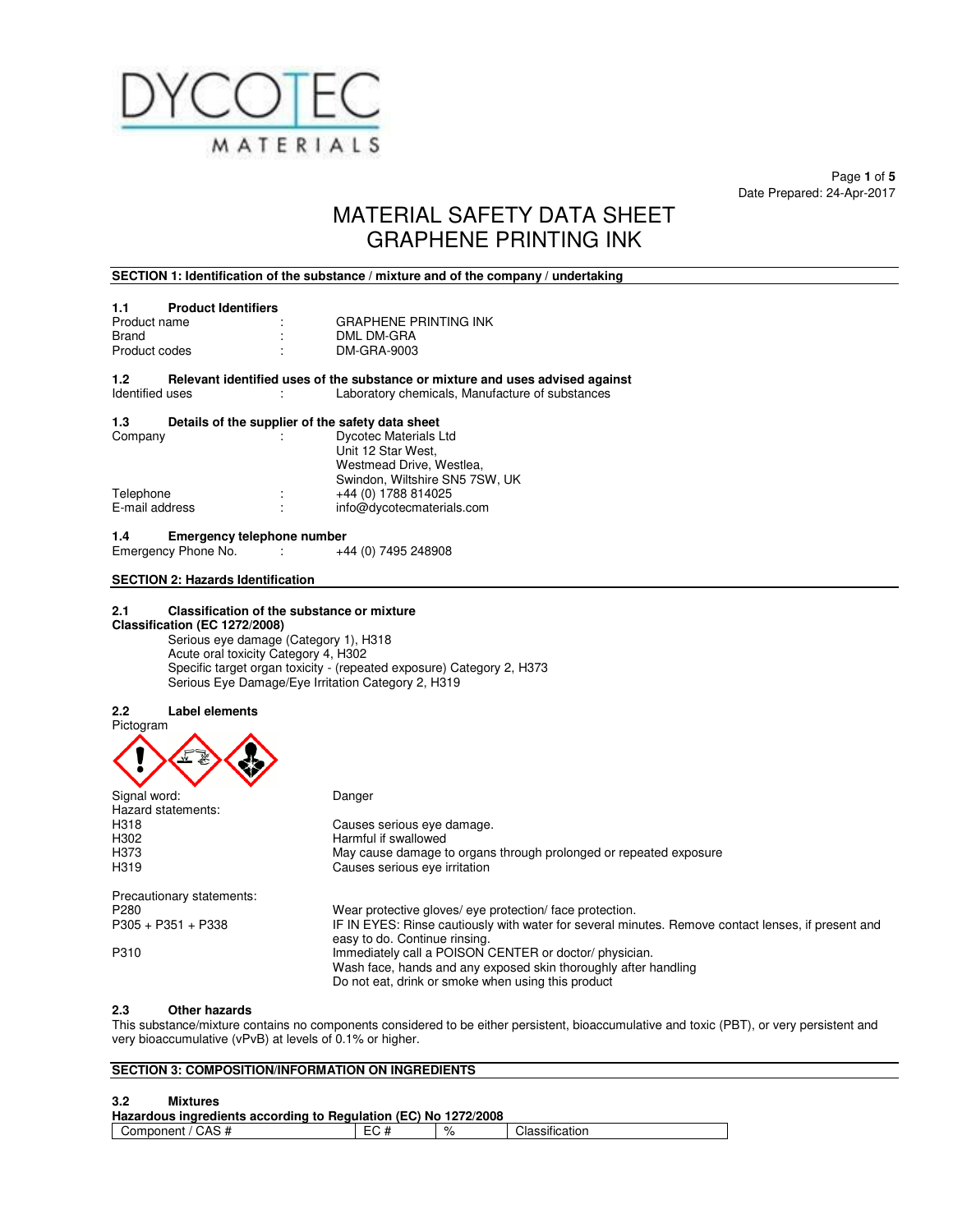

Page **1** of **5**  Date Prepared: 24-Apr-2017

# MATERIAL SAFETY DATA SHEET GRAPHENE PRINTING INK

#### **SECTION 1: Identification of the substance / mixture and of the company / undertaking**

| <b>Product Identifiers</b><br>1.1 |                              |
|-----------------------------------|------------------------------|
| Product name                      | <b>GRAPHENE PRINTING INK</b> |
| Brand                             | DML DM-GRA                   |
| Product codes                     | DM-GRA-9003                  |

#### **1.2** Relevant identified uses of the substance or mixture and uses advised against ldentified uses Laboratory chemicals, Manufacture of substances : Laboratory chemicals, Manufacture of substances

#### **1.3 Details of the supplier of the safety data sheet**

| ÷      | <b>Dycotec Materials Ltd</b>   |
|--------|--------------------------------|
|        | Unit 12 Star West.             |
|        | Westmead Drive, Westlea.       |
|        | Swindon, Wiltshire SN5 7SW, UK |
| ٠.     | +44 (0) 1788 814025            |
| ٠<br>٠ | info@dycotecmaterials.com      |
|        |                                |

**1.4 Emergency telephone number**<br>Emergency Phone No.  $+44$  (0) 7495 248908 Emergency Phone No. :

#### **SECTION 2: Hazards Identification**

#### $2.1$ **2.1 Classification of the substance or mixture Classification (EC 1272/2008)**

Serious eye damage (Category 1), H318 Acute oral toxicity Category 4, H302 Specific target organ toxicity - (repeated exposure) Category 2, H373 Serious Eye Damage/Eye Irritation Category 2, H319

#### **2.2 Label elements**



| Signal word:              | Danger                                                                                                                              |
|---------------------------|-------------------------------------------------------------------------------------------------------------------------------------|
| Hazard statements:        |                                                                                                                                     |
| H318                      | Causes serious eye damage.                                                                                                          |
| H302                      | Harmful if swallowed                                                                                                                |
| H373                      | May cause damage to organs through prolonged or repeated exposure                                                                   |
| H319                      | Causes serious eye irritation                                                                                                       |
| Precautionary statements: |                                                                                                                                     |
| P <sub>280</sub>          | Wear protective gloves/ eye protection/ face protection.                                                                            |
| $P305 + P351 + P338$      | IF IN EYES: Rinse cautiously with water for several minutes. Remove contact lenses, if present and<br>easy to do. Continue rinsing. |
| P310                      | Immediately call a POISON CENTER or doctor/physician.                                                                               |
|                           | Wash face, hands and any exposed skin thoroughly after handling                                                                     |
|                           | Do not eat, drink or smoke when using this product                                                                                  |

#### **2.3 Other hazards**

This substance/mixture contains no components considered to be either persistent, bioaccumulative and toxic (PBT), or very persistent and very bioaccumulative (vPvB) at levels of 0.1% or higher.

### **SECTION 3: COMPOSITION/INFORMATION ON INGREDIENTS**

#### **3.2 Mixtures**

| Hazardous ingredients according to Regulation (EC) No 1272/2008 |  |  |                |  |
|-----------------------------------------------------------------|--|--|----------------|--|
| Component / CAS #                                               |  |  | Classification |  |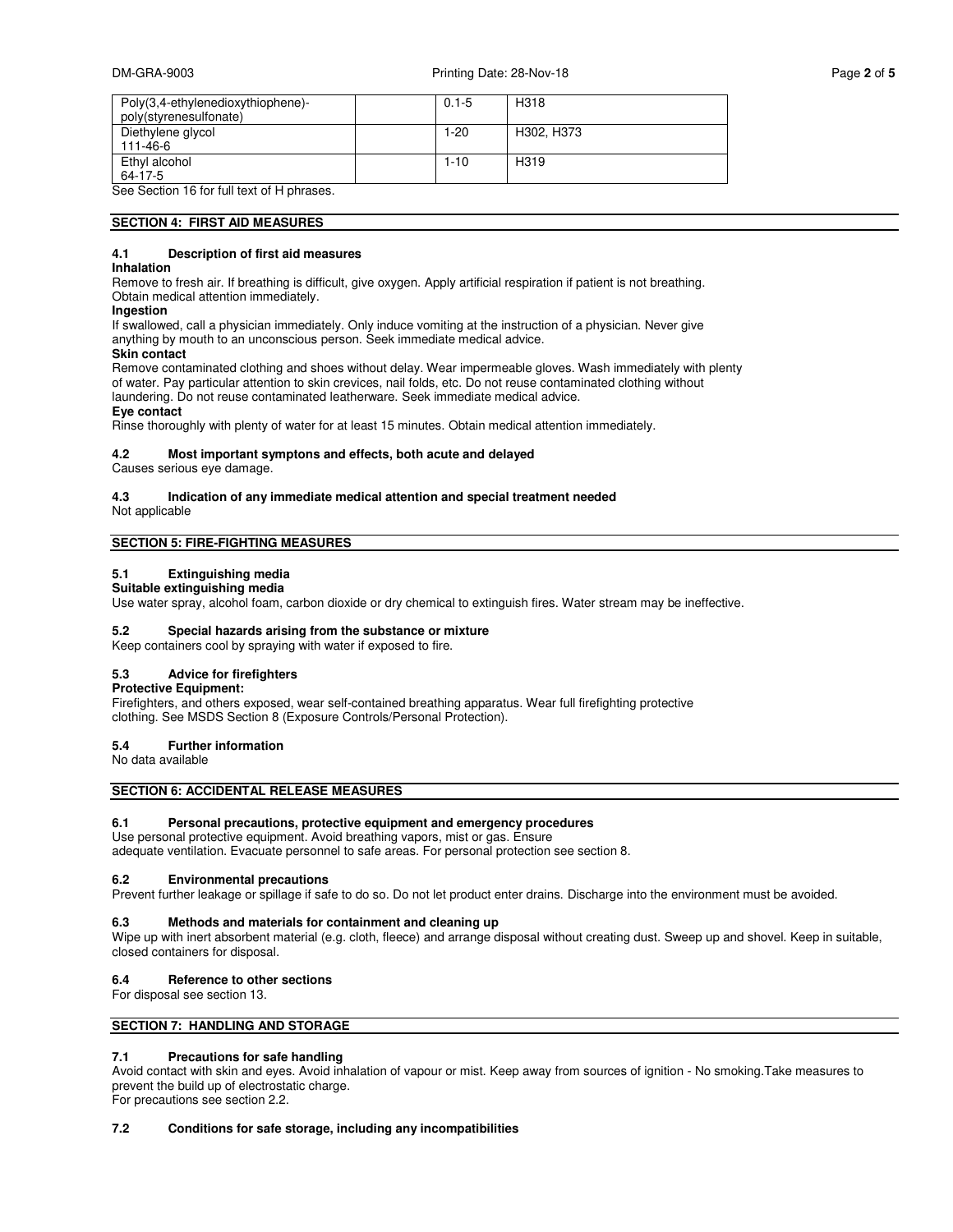| Page 2 of 5 |  |  |  |
|-------------|--|--|--|
|-------------|--|--|--|

| Poly(3,4-ethylenedioxythiophene)-<br>poly(styrenesulfonate) | $0.1 - 5$ | H318              |
|-------------------------------------------------------------|-----------|-------------------|
| Diethylene glycol<br>111-46-6                               | $1 - 20$  | H302, H373        |
| Ethyl alcohol<br>64-17-5                                    | $1 - 10$  | H <sub>3</sub> 19 |

See Section 16 for full text of H phrases.

#### **SECTION 4: FIRST AID MEASURES**

#### **4.1 Description of first aid measures**

#### **Inhalation**

Remove to fresh air. If breathing is difficult, give oxygen. Apply artificial respiration if patient is not breathing. Obtain medical attention immediately.

#### **Ingestion**

If swallowed, call a physician immediately. Only induce vomiting at the instruction of a physician. Never give anything by mouth to an unconscious person. Seek immediate medical advice.

#### **Skin contact**

Remove contaminated clothing and shoes without delay. Wear impermeable gloves. Wash immediately with plenty of water. Pay particular attention to skin crevices, nail folds, etc. Do not reuse contaminated clothing without laundering. Do not reuse contaminated leatherware. Seek immediate medical advice. **Eye contact** 

#### Rinse thoroughly with plenty of water for at least 15 minutes. Obtain medical attention immediately.

#### **4.2 Most important symptons and effects, both acute and delayed**

Causes serious eye damage.

# **4.3 Indication of any immediate medical attention and special treatment needed**

Not applicable

#### **SECTION 5: FIRE-FIGHTING MEASURES**

#### **5.1 Extinguishing media Suitable extinguishing media**

Use water spray, alcohol foam, carbon dioxide or dry chemical to extinguish fires. Water stream may be ineffective.

#### **5.2 Special hazards arising from the substance or mixture**

Keep containers cool by spraying with water if exposed to fire.

#### **5.3 Advice for firefighters**

#### **Protective Equipment:**

Firefighters, and others exposed, wear self-contained breathing apparatus. Wear full firefighting protective clothing. See MSDS Section 8 (Exposure Controls/Personal Protection).

#### **5.4 Further information**

No data available

#### **SECTION 6: ACCIDENTAL RELEASE MEASURES**

#### **6.1 Personal precautions, protective equipment and emergency procedures**

## Use personal protective equipment. Avoid breathing vapors, mist or gas. Ensure

adequate ventilation. Evacuate personnel to safe areas. For personal protection see section 8.

#### **6.2 Environmental precautions**

Prevent further leakage or spillage if safe to do so. Do not let product enter drains. Discharge into the environment must be avoided.

#### **6.3 Methods and materials for containment and cleaning up**

Wipe up with inert absorbent material (e.g. cloth, fleece) and arrange disposal without creating dust. Sweep up and shovel. Keep in suitable, closed containers for disposal.

#### **6.4 Reference to other sections**

For disposal see section 13.

#### **SECTION 7: HANDLING AND STORAGE**

#### **7.1 Precautions for safe handling**

Avoid contact with skin and eyes. Avoid inhalation of vapour or mist. Keep away from sources of ignition - No smoking.Take measures to prevent the build up of electrostatic charge.

For precautions see section 2.2.

#### **7.2 Conditions for safe storage, including any incompatibilities**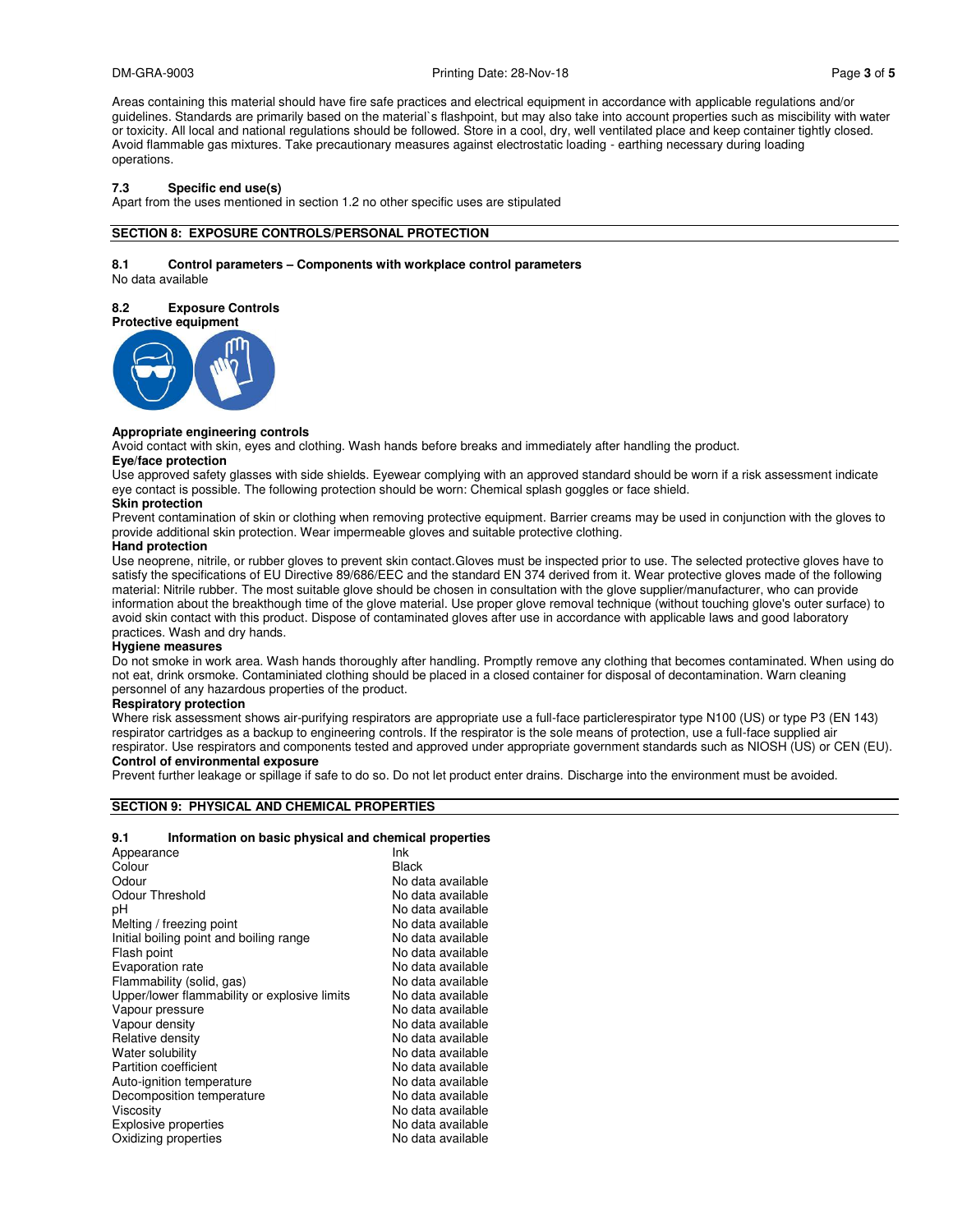Areas containing this material should have fire safe practices and electrical equipment in accordance with applicable regulations and/or guidelines. Standards are primarily based on the material`s flashpoint, but may also take into account properties such as miscibility with water or toxicity. All local and national regulations should be followed. Store in a cool, dry, well ventilated place and keep container tightly closed. Avoid flammable gas mixtures. Take precautionary measures against electrostatic loading - earthing necessary during loading operations.

#### **7.3 Specific end use(s)**

Apart from the uses mentioned in section 1.2 no other specific uses are stipulated

#### **SECTION 8: EXPOSURE CONTROLS/PERSONAL PROTECTION**

#### **8.1 Control parameters – Components with workplace control parameters**

No data available

### **8.2 Exposure Controls**



#### **Appropriate engineering controls**

Avoid contact with skin, eyes and clothing. Wash hands before breaks and immediately after handling the product.

#### **Eye/face protection**

Use approved safety glasses with side shields. Eyewear complying with an approved standard should be worn if a risk assessment indicate eye contact is possible. The following protection should be worn: Chemical splash goggles or face shield.

### **Skin protection**

Prevent contamination of skin or clothing when removing protective equipment. Barrier creams may be used in conjunction with the gloves to provide additional skin protection. Wear impermeable gloves and suitable protective clothing.

#### **Hand protection**

Use neoprene, nitrile, or rubber gloves to prevent skin contact.Gloves must be inspected prior to use. The selected protective gloves have to satisfy the specifications of EU Directive 89/686/EEC and the standard EN 374 derived from it. Wear protective gloves made of the following material: Nitrile rubber. The most suitable glove should be chosen in consultation with the glove supplier/manufacturer, who can provide information about the breakthough time of the glove material. Use proper glove removal technique (without touching glove's outer surface) to avoid skin contact with this product. Dispose of contaminated gloves after use in accordance with applicable laws and good laboratory practices. Wash and dry hands.

#### **Hygiene measures**

Do not smoke in work area. Wash hands thoroughly after handling. Promptly remove any clothing that becomes contaminated. When using do not eat, drink orsmoke. Contaminiated clothing should be placed in a closed container for disposal of decontamination. Warn cleaning personnel of any hazardous properties of the product.

#### **Respiratory protection**

Where risk assessment shows air-purifying respirators are appropriate use a full-face particlerespirator type N100 (US) or type P3 (EN 143) respirator cartridges as a backup to engineering controls. If the respirator is the sole means of protection, use a full-face supplied air respirator. Use respirators and components tested and approved under appropriate government standards such as NIOSH (US) or CEN (EU). **Control of environmental exposure** 

Prevent further leakage or spillage if safe to do so. Do not let product enter drains. Discharge into the environment must be avoided.

#### **SECTION 9: PHYSICAL AND CHEMICAL PROPERTIES**

#### **9.1 Information on basic physical and chemical properties**

| Ink               |
|-------------------|
| <b>Black</b>      |
| No data available |
| No data available |
| No data available |
| No data available |
| No data available |
| No data available |
| No data available |
| No data available |
| No data available |
| No data available |
| No data available |
| No data available |
| No data available |
| No data available |
| No data available |
| No data available |
| No data available |
| No data available |
| No data available |
|                   |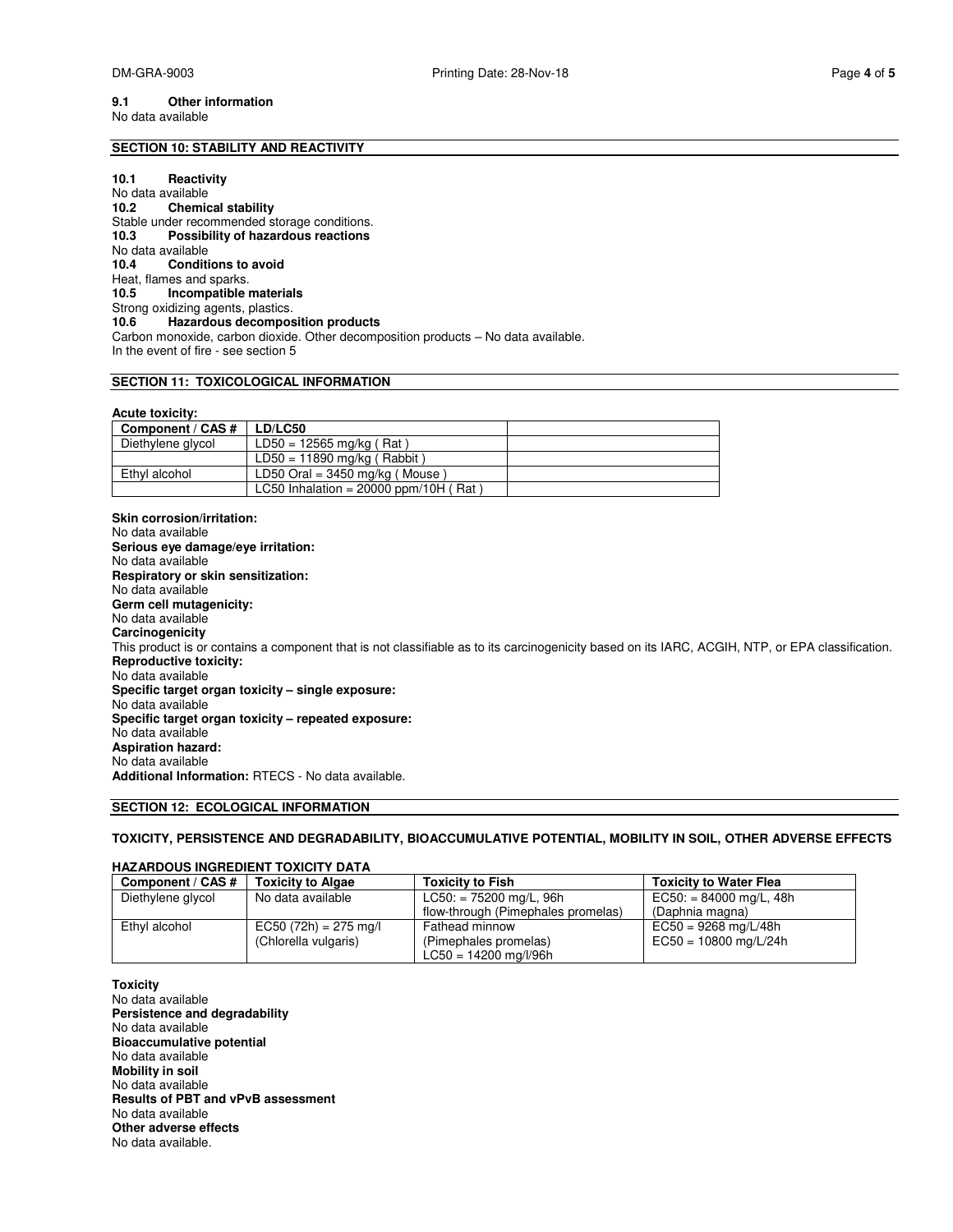#### **9.1 Other information**  No data available

#### **SECTION 10: STABILITY AND REACTIVITY**

#### **10.1 Reactivity**

No data available **10.2 Chemical stability**  Stable under recommended storage conditions. **10.3 Possibility of hazardous reactions**  No data available **10.4 Conditions to avoid**  Heat, flames and sparks.<br>**10.5 Incompatible 10.5 Incompatible materials**  Strong oxidizing agents, plastics.<br>10.6 Hazardous decompos **10.6 Hazardous decomposition products**  Carbon monoxide, carbon dioxide. Other decomposition products – No data available. In the event of fire - see section 5

#### **SECTION 11: TOXICOLOGICAL INFORMATION**

#### **Acute toxicity:**

| Component / CAS # | LD/LC50                                 |  |
|-------------------|-----------------------------------------|--|
| Diethylene glycol | $LD50 = 12565$ mg/kg (Rat)              |  |
|                   | $LD50 = 11890$ mg/kg (Rabbit)           |  |
| Ethyl alcohol     | LD50 Oral = $3450$ mg/kg (Mouse)        |  |
|                   | LC50 Inhalation = $20000$ ppm/10H (Rat) |  |

**Skin corrosion/irritation:**  No data available **Serious eye damage/eye irritation:**  No data available **Respiratory or skin sensitization:**  No data available **Germ cell mutagenicity:**  No data available **Carcinogenicity**  This product is or contains a component that is not classifiable as to its carcinogenicity based on its IARC, ACGIH, NTP, or EPA classification. **Reproductive toxicity:**  No data available **Specific target organ toxicity – single exposure:**  No data available **Specific target organ toxicity – repeated exposure:**  No data available **Aspiration hazard:**  No data available **Additional Information:** RTECS - No data available.

#### **SECTION 12: ECOLOGICAL INFORMATION**

#### **TOXICITY, PERSISTENCE AND DEGRADABILITY, BIOACCUMULATIVE POTENTIAL, MOBILITY IN SOIL, OTHER ADVERSE EFFECTS**

#### **HAZARDOUS INGREDIENT TOXICITY DATA**

| Component / CAS # | <b>Toxicity to Algae</b> | <b>Toxicity to Fish</b>            | <b>Toxicity to Water Flea</b> |
|-------------------|--------------------------|------------------------------------|-------------------------------|
| Diethylene glycol | No data available        | $LC50: = 75200$ mg/L, 96h          | $EC50: = 84000$ mg/L, 48h     |
|                   |                          | flow-through (Pimephales promelas) | (Daphnia magna)               |
| Ethyl alcohol     | $EC50 (72h) = 275 mg/l$  | Fathead minnow                     | $EC50 = 9268$ mg/L/48h        |
|                   | (Chlorella vulgaris)     | (Pimephales promelas)              | $EC50 = 10800$ mg/L/24h       |
|                   |                          | $LC50 = 14200$ mg/l/96h            |                               |

**Toxicity**  No data available **Persistence and degradability**  No data available **Bioaccumulative potential**  No data available **Mobility in soil**  No data available **Results of PBT and vPvB assessment**  No data available **Other adverse effects**  No data available.